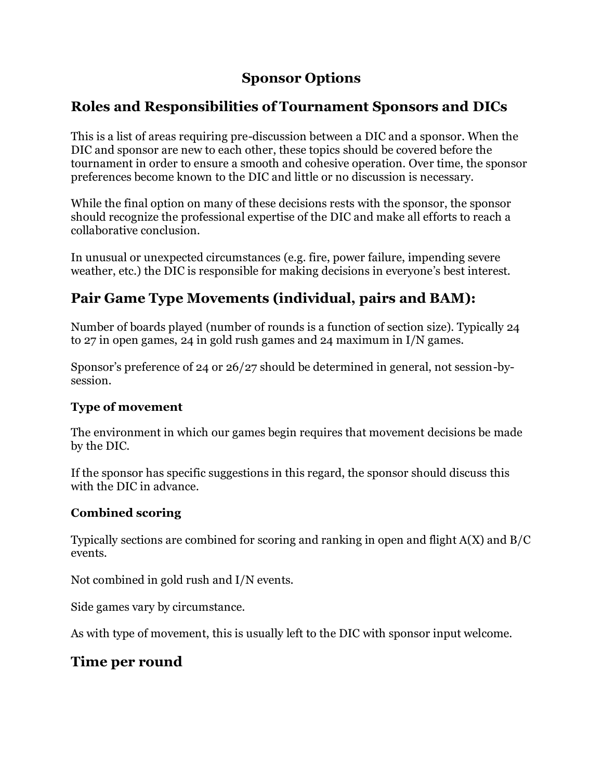# **Sponsor Options**

# **Roles and Responsibilities of Tournament Sponsors and DICs**

This is a list of areas requiring pre-discussion between a DIC and a sponsor. When the DIC and sponsor are new to each other, these topics should be covered before the tournament in order to ensure a smooth and cohesive operation. Over time, the sponsor preferences become known to the DIC and little or no discussion is necessary.

While the final option on many of these decisions rests with the sponsor, the sponsor should recognize the professional expertise of the DIC and make all efforts to reach a collaborative conclusion.

In unusual or unexpected circumstances (e.g. fire, power failure, impending severe weather, etc.) the DIC is responsible for making decisions in everyone's best interest.

# **Pair Game Type Movements (individual, pairs and BAM):**

Number of boards played (number of rounds is a function of section size). Typically 24 to 27 in open games, 24 in gold rush games and 24 maximum in I/N games.

Sponsor's preference of 24 or 26/27 should be determined in general, not session-bysession.

# **Type of movement**

The environment in which our games begin requires that movement decisions be made by the DIC.

If the sponsor has specific suggestions in this regard, the sponsor should discuss this with the DIC in advance.

# **Combined scoring**

Typically sections are combined for scoring and ranking in open and flight A(X) and B/C events.

Not combined in gold rush and I/N events.

Side games vary by circumstance.

As with type of movement, this is usually left to the DIC with sponsor input welcome.

# **Time per round**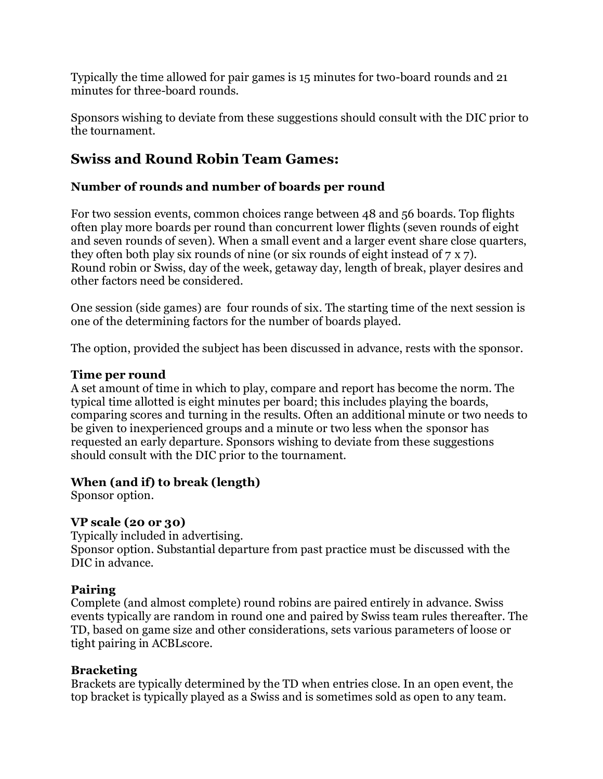Typically the time allowed for pair games is 15 minutes for two-board rounds and 21 minutes for three-board rounds.

Sponsors wishing to deviate from these suggestions should consult with the DIC prior to the tournament.

# **Swiss and Round Robin Team Games:**

# **Number of rounds and number of boards per round**

For two session events, common choices range between 48 and 56 boards. Top flights often play more boards per round than concurrent lower flights (seven rounds of eight and seven rounds of seven). When a small event and a larger event share close quarters, they often both play six rounds of nine (or six rounds of eight instead of 7 x 7). Round robin or Swiss, day of the week, getaway day, length of break, player desires and other factors need be considered.

One session (side games) are four rounds of six. The starting time of the next session is one of the determining factors for the number of boards played.

The option, provided the subject has been discussed in advance, rests with the sponsor.

### **Time per round**

A set amount of time in which to play, compare and report has become the norm. The typical time allotted is eight minutes per board; this includes playing the boards, comparing scores and turning in the results. Often an additional minute or two needs to be given to inexperienced groups and a minute or two less when the sponsor has requested an early departure. Sponsors wishing to deviate from these suggestions should consult with the DIC prior to the tournament.

# **When (and if) to break (length)**

Sponsor option.

# **VP scale (20 or 30)**

Typically included in advertising. Sponsor option. Substantial departure from past practice must be discussed with the DIC in advance.

# **Pairing**

Complete (and almost complete) round robins are paired entirely in advance. Swiss events typically are random in round one and paired by Swiss team rules thereafter. The TD, based on game size and other considerations, sets various parameters of loose or tight pairing in ACBLscore.

# **Bracketing**

Brackets are typically determined by the TD when entries close. In an open event, the top bracket is typically played as a Swiss and is sometimes sold as open to any team.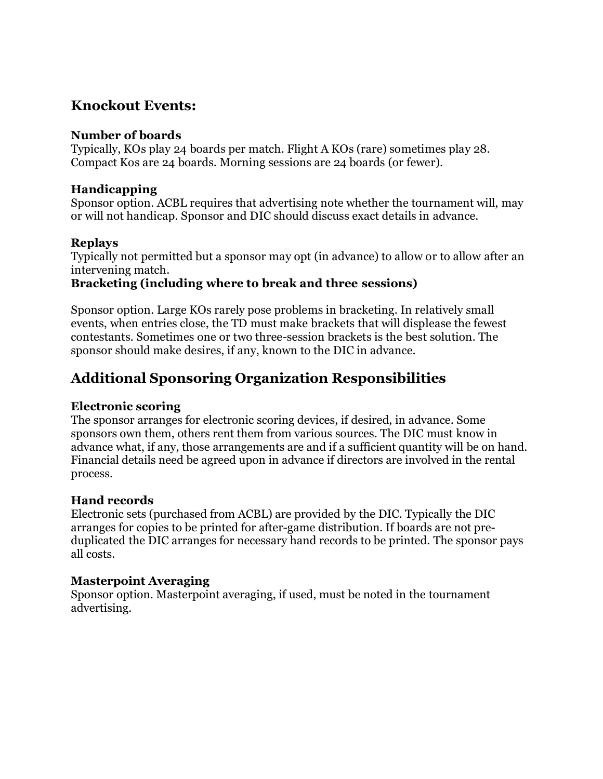# **Knockout Events:**

### **Number of boards**

Typically, KOs play 24 boards per match. Flight A KOs (rare) sometimes play 28. Compact Kos are 24 boards. Morning sessions are 24 boards (or fewer).

### **Handicapping**

Sponsor option. ACBL requires that advertising note whether the tournament will, may or will not handicap. Sponsor and DIC should discuss exact details in advance.

### **Replays**

Typically not permitted but a sponsor may opt (in advance) to allow or to allow after an intervening match.

### **Bracketing (including where to break and three sessions)**

Sponsor option. Large KOs rarely pose problems in bracketing. In relatively small events, when entries close, the TD must make brackets that will displease the fewest contestants. Sometimes one or two three-session brackets is the best solution. The sponsor should make desires, if any, known to the DIC in advance.

# **Additional Sponsoring Organization Responsibilities**

### **Electronic scoring**

The sponsor arranges for electronic scoring devices, if desired, in advance. Some sponsors own them, others rent them from various sources. The DIC must know in advance what, if any, those arrangements are and if a sufficient quantity will be on hand. Financial details need be agreed upon in advance if directors are involved in the rental process.

### **Hand records**

Electronic sets (purchased from ACBL) are provided by the DIC. Typically the DIC arranges for copies to be printed for after-game distribution. If boards are not preduplicated the DIC arranges for necessary hand records to be printed. The sponsor pays all costs.

### **Masterpoint Averaging**

Sponsor option. Masterpoint averaging, if used, must be noted in the tournament advertising.